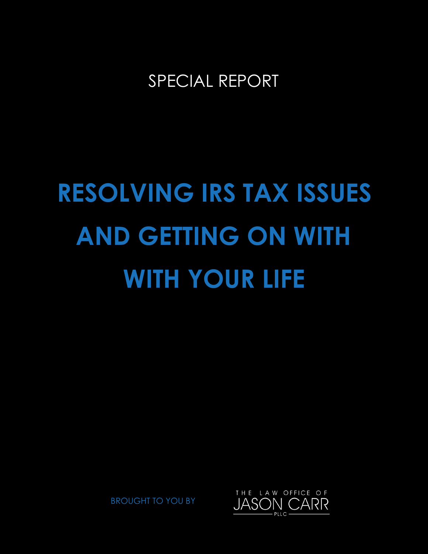SPECIAL REPORT

# **RESOLVING IRS TAX ISSUES WITH YOUR LIFE AND GETTING ON WITH**

BROUGHT TO YOU BY

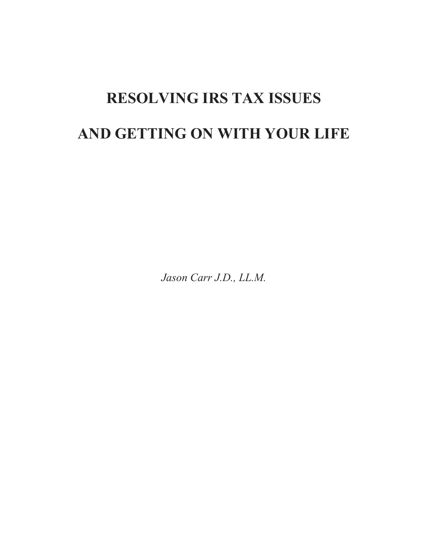# **RESOLVING IRS TAX ISSUES AND GETTING ON WITH YOUR LIFE**

*Jason Carr J.D., LL.M.*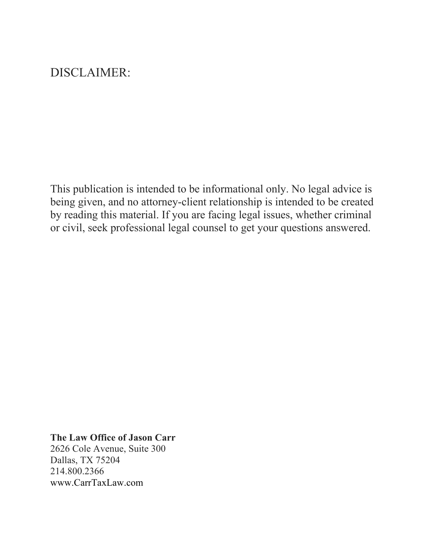# DISCLAIMER:

This publication is intended to be informational only. No legal advice is being given, and no attorney-client relationship is intended to be created by reading this material. If you are facing legal issues, whether criminal or civil, seek professional legal counsel to get your questions answered.

#### **The Law Office of Jason Carr**

2626 Cole Avenue, Suite 300 Dallas, TX 75204 214.800.2366 www.CarrTaxLaw.com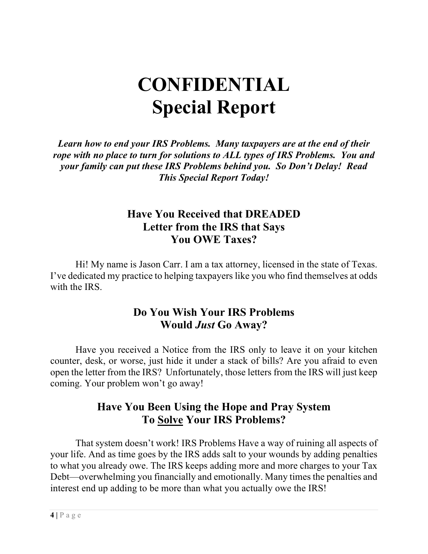# **CONFIDENTIAL Special Report**

*Learn how to end your IRS Problems. Many taxpayers are at the end of their rope with no place to turn for solutions to ALL types of IRS Problems. You and your family can put these IRS Problems behind you. So Don't Delay! Read This Special Report Today!*

# **Have You Received that DREADED Letter from the IRS that Says You OWE Taxes?**

Hi! My name is Jason Carr. I am a tax attorney, licensed in the state of Texas. I've dedicated my practice to helping taxpayers like you who find themselves at odds with the IRS.

# **Do You Wish Your IRS Problems Would** *Just* **Go Away?**

Have you received a Notice from the IRS only to leave it on your kitchen counter, desk, or worse, just hide it under a stack of bills? Are you afraid to even open the letter from the IRS? Unfortunately, those letters from the IRS will just keep coming. Your problem won't go away!

# **Have You Been Using the Hope and Pray System To Solve Your IRS Problems?**

That system doesn't work! IRS Problems Have a way of ruining all aspects of your life. And as time goes by the IRS adds salt to your wounds by adding penalties to what you already owe. The IRS keeps adding more and more charges to your Tax Debt—overwhelming you financially and emotionally. Many times the penalties and interest end up adding to be more than what you actually owe the IRS!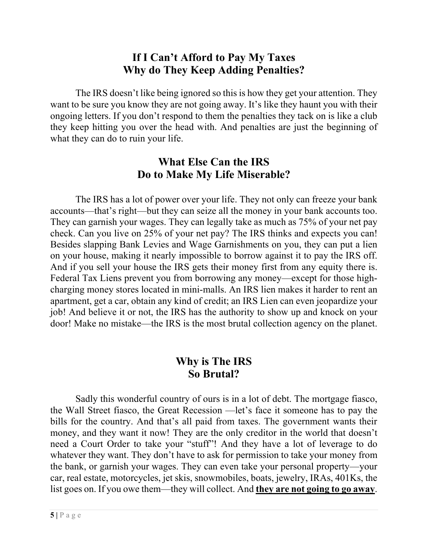# **If I Can't Afford to Pay My Taxes Why do They Keep Adding Penalties?**

The IRS doesn't like being ignored so this is how they get your attention. They want to be sure you know they are not going away. It's like they haunt you with their ongoing letters. If you don't respond to them the penalties they tack on is like a club they keep hitting you over the head with. And penalties are just the beginning of what they can do to ruin your life.

# **What Else Can the IRS Do to Make My Life Miserable?**

The IRS has a lot of power over your life. They not only can freeze your bank accounts—that's right—but they can seize all the money in your bank accounts too. They can garnish your wages. They can legally take as much as 75% of your net pay check. Can you live on 25% of your net pay? The IRS thinks and expects you can! Besides slapping Bank Levies and Wage Garnishments on you, they can put a lien on your house, making it nearly impossible to borrow against it to pay the IRS off. And if you sell your house the IRS gets their money first from any equity there is. Federal Tax Liens prevent you from borrowing any money—except for those highcharging money stores located in mini-malls. An IRS lien makes it harder to rent an apartment, get a car, obtain any kind of credit; an IRS Lien can even jeopardize your job! And believe it or not, the IRS has the authority to show up and knock on your door! Make no mistake—the IRS is the most brutal collection agency on the planet.

## **Why is The IRS So Brutal?**

Sadly this wonderful country of ours is in a lot of debt. The mortgage fiasco, the Wall Street fiasco, the Great Recession —let's face it someone has to pay the bills for the country. And that's all paid from taxes. The government wants their money, and they want it now! They are the only creditor in the world that doesn't need a Court Order to take your "stuff"! And they have a lot of leverage to do whatever they want. They don't have to ask for permission to take your money from the bank, or garnish your wages. They can even take your personal property—your car, real estate, motorcycles, jet skis, snowmobiles, boats, jewelry, IRAs, 401Ks, the list goes on. If you owe them—they will collect. And **they are not going to go away**.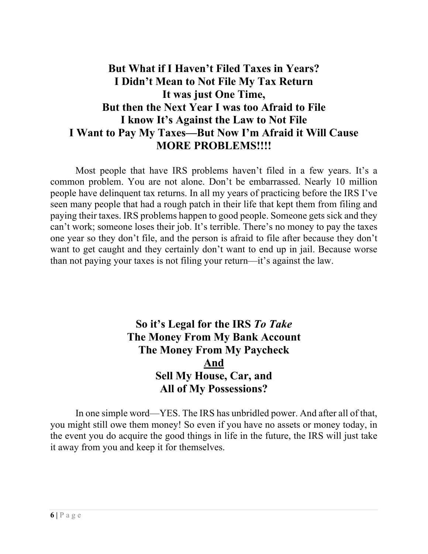# **But What if I Haven't Filed Taxes in Years? I Didn't Mean to Not File My Tax Return It was just One Time, But then the Next Year I was too Afraid to File I know It's Against the Law to Not File I Want to Pay My Taxes—But Now I'm Afraid it Will Cause MORE PROBLEMS!!!!**

Most people that have IRS problems haven't filed in a few years. It's a common problem. You are not alone. Don't be embarrassed. Nearly 10 million people have delinquent tax returns. In all my years of practicing before the IRS I've seen many people that had a rough patch in their life that kept them from filing and paying their taxes. IRS problems happen to good people. Someone gets sick and they can't work; someone loses their job. It's terrible. There's no money to pay the taxes one year so they don't file, and the person is afraid to file after because they don't want to get caught and they certainly don't want to end up in jail. Because worse than not paying your taxes is not filing your return—it's against the law.

# **So it's Legal for the IRS** *To Take* **The Money From My Bank Account The Money From My Paycheck And Sell My House, Car, and All of My Possessions?**

In one simple word—YES. The IRS has unbridled power. And after all of that, you might still owe them money! So even if you have no assets or money today, in the event you do acquire the good things in life in the future, the IRS will just take it away from you and keep it for themselves.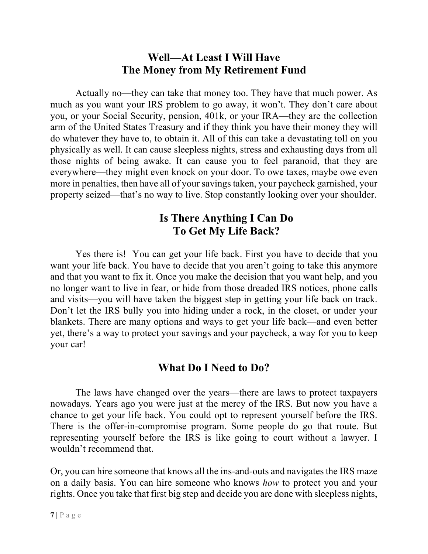# **Well—At Least I Will Have The Money from My Retirement Fund**

Actually no—they can take that money too. They have that much power. As much as you want your IRS problem to go away, it won't. They don't care about you, or your Social Security, pension, 401k, or your IRA—they are the collection arm of the United States Treasury and if they think you have their money they will do whatever they have to, to obtain it. All of this can take a devastating toll on you physically as well. It can cause sleepless nights, stress and exhausting days from all those nights of being awake. It can cause you to feel paranoid, that they are everywhere—they might even knock on your door. To owe taxes, maybe owe even more in penalties, then have all of your savings taken, your paycheck garnished, your property seized—that's no way to live. Stop constantly looking over your shoulder.

# **Is There Anything I Can Do To Get My Life Back?**

Yes there is! You can get your life back. First you have to decide that you want your life back. You have to decide that you aren't going to take this anymore and that you want to fix it. Once you make the decision that you want help, and you no longer want to live in fear, or hide from those dreaded IRS notices, phone calls and visits—you will have taken the biggest step in getting your life back on track. Don't let the IRS bully you into hiding under a rock, in the closet, or under your blankets. There are many options and ways to get your life back—and even better yet, there's a way to protect your savings and your paycheck, a way for you to keep your car!

# **What Do I Need to Do?**

The laws have changed over the years—there are laws to protect taxpayers nowadays. Years ago you were just at the mercy of the IRS. But now you have a chance to get your life back. You could opt to represent yourself before the IRS. There is the offer-in-compromise program. Some people do go that route. But representing yourself before the IRS is like going to court without a lawyer. I wouldn't recommend that.

Or, you can hire someone that knows all the ins-and-outs and navigates the IRS maze on a daily basis. You can hire someone who knows *how* to protect you and your rights. Once you take that first big step and decide you are done with sleepless nights,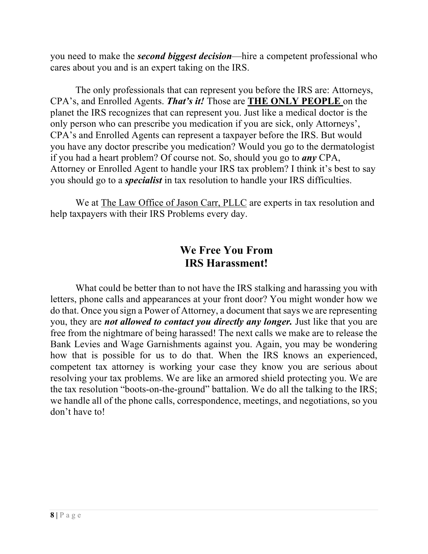you need to make the *second biggest decision*—hire a competent professional who cares about you and is an expert taking on the IRS.

The only professionals that can represent you before the IRS are: Attorneys, CPA's, and Enrolled Agents. *That's it!* Those are **THE ONLY PEOPLE** on the planet the IRS recognizes that can represent you. Just like a medical doctor is the only person who can prescribe you medication if you are sick, only Attorneys', CPA's and Enrolled Agents can represent a taxpayer before the IRS. But would you have any doctor prescribe you medication? Would you go to the dermatologist if you had a heart problem? Of course not. So, should you go to *any* CPA, Attorney or Enrolled Agent to handle your IRS tax problem? I think it's best to say you should go to a *specialist* in tax resolution to handle your IRS difficulties.

We at The Law Office of Jason Carr, PLLC are experts in tax resolution and help taxpayers with their IRS Problems every day.

# **We Free You From IRS Harassment!**

What could be better than to not have the IRS stalking and harassing you with letters, phone calls and appearances at your front door? You might wonder how we do that. Once you sign a Power of Attorney, a document that says we are representing you, they are *not allowed to contact you directly any longer.* Just like that you are free from the nightmare of being harassed! The next calls we make are to release the Bank Levies and Wage Garnishments against you. Again, you may be wondering how that is possible for us to do that. When the IRS knows an experienced, competent tax attorney is working your case they know you are serious about resolving your tax problems. We are like an armored shield protecting you. We are the tax resolution "boots-on-the-ground" battalion. We do all the talking to the IRS; we handle all of the phone calls, correspondence, meetings, and negotiations, so you don't have to!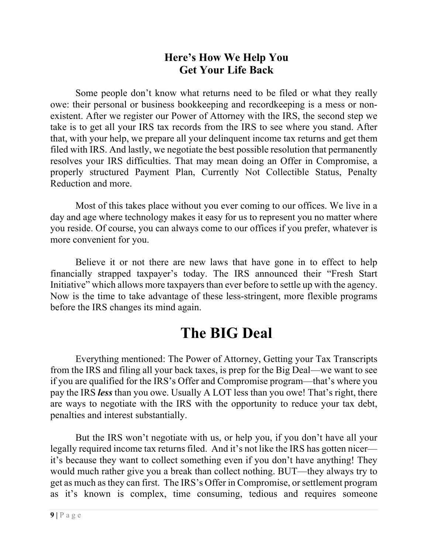# **Here's How We Help You Get Your Life Back**

Some people don't know what returns need to be filed or what they really owe: their personal or business bookkeeping and recordkeeping is a mess or nonexistent. After we register our Power of Attorney with the IRS, the second step we take is to get all your IRS tax records from the IRS to see where you stand. After that, with your help, we prepare all your delinquent income tax returns and get them filed with IRS. And lastly, we negotiate the best possible resolution that permanently resolves your IRS difficulties. That may mean doing an Offer in Compromise, a properly structured Payment Plan, Currently Not Collectible Status, Penalty Reduction and more.

Most of this takes place without you ever coming to our offices. We live in a day and age where technology makes it easy for us to represent you no matter where you reside. Of course, you can always come to our offices if you prefer, whatever is more convenient for you.

Believe it or not there are new laws that have gone in to effect to help financially strapped taxpayer's today. The IRS announced their "Fresh Start Initiative" which allows more taxpayers than ever before to settle up with the agency. Now is the time to take advantage of these less-stringent, more flexible programs before the IRS changes its mind again.

# **The BIG Deal**

Everything mentioned: The Power of Attorney, Getting your Tax Transcripts from the IRS and filing all your back taxes, is prep for the Big Deal—we want to see if you are qualified for the IRS's Offer and Compromise program—that's where you pay the IRS *less* than you owe. Usually A LOT less than you owe! That's right, there are ways to negotiate with the IRS with the opportunity to reduce your tax debt, penalties and interest substantially.

But the IRS won't negotiate with us, or help you, if you don't have all your legally required income tax returns filed. And it's not like the IRS has gotten nicer it's because they want to collect something even if you don't have anything! They would much rather give you a break than collect nothing. BUT—they always try to get as much as they can first. The IRS's Offer in Compromise, or settlement program as it's known is complex, time consuming, tedious and requires someone